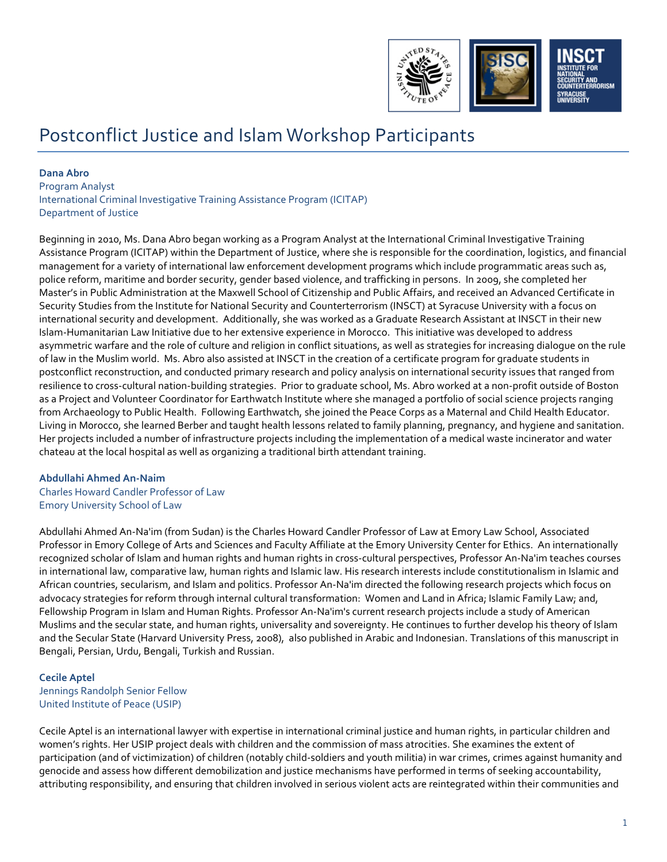

# Postconflict Justice and Islam Workshop Participants

## **Dana Abro**

Program Analyst International Criminal Investigative Training Assistance Program (ICITAP) Department of Justice

Beginning in 2010, Ms. Dana Abro began working as a Program Analyst at the International Criminal Investigative Training Assistance Program (ICITAP) within the Department of Justice, where she is responsible for the coordination, logistics, and financial management for a variety of international law enforcement development programs which include programmatic areas such as, police reform, maritime and border security, gender based violence, and trafficking in persons. In 2009, she completed her Master's in Public Administration at the Maxwell School of Citizenship and Public Affairs, and received an Advanced Certificate in Security Studies from the Institute for National Security and Counterterrorism (INSCT) at Syracuse University with a focus on international security and development. Additionally, she was worked as a Graduate Research Assistant at INSCT in their new Islam-Humanitarian Law Initiative due to her extensive experience in Morocco. This initiative was developed to address asymmetric warfare and the role of culture and religion in conflict situations, as well as strategies for increasing dialogue on the rule of law in the Muslim world. Ms. Abro also assisted at INSCT in the creation of a certificate program for graduate students in postconflict reconstruction, and conducted primary research and policy analysis on international security issues that ranged from resilience to cross-cultural nation-building strategies. Prior to graduate school, Ms. Abro worked at a non-profit outside of Boston as a Project and Volunteer Coordinator for Earthwatch Institute where she managed a portfolio of social science projects ranging from Archaeology to Public Health. Following Earthwatch, she joined the Peace Corps as a Maternal and Child Health Educator. Living in Morocco, she learned Berber and taught health lessons related to family planning, pregnancy, and hygiene and sanitation. Her projects included a number of infrastructure projects including the implementation of a medical waste incinerator and water chateau at the local hospital as well as organizing a traditional birth attendant training.

# **Abdullahi Ahmed An-Naim**

Charles Howard Candler Professor of Law Emory University School of Law

Abdullahi Ahmed An-Na'im (from Sudan) is the Charles Howard Candler Professor of Law at Emory Law School, Associated Professor in Emory College of Arts and Sciences and Faculty Affiliate at the Emory University Center for Ethics. An internationally recognized scholar of Islam and human rights and human rights in cross-cultural perspectives, Professor An-Na'im teaches courses in international law, comparative law, human rights and Islamic law. His research interests include constitutionalism in Islamic and African countries, secularism, and Islam and politics. Professor An-Na'im directed the following research projects which focus on advocacy strategies for reform through internal cultural transformation: Women and Land in Africa; Islamic Family Law; and, Fellowship Program in Islam and Human Rights. Professor An-Na'im's current research projects include a study of American Muslims and the secular state, and human rights, universality and sovereignty. He continues to further develop his theory of Islam and the Secular State (Harvard University Press, 2008), also published in Arabic and Indonesian. Translations of this manuscript in Bengali, Persian, Urdu, Bengali, Turkish and Russian.

## **Cecile Aptel**

Jennings Randolph Senior Fellow United Institute of Peace (USIP)

Cecile Aptel is an international lawyer with expertise in international criminal justice and human rights, in particular children and women's rights. Her USIP project deals with children and the commission of mass atrocities. She examines the extent of participation (and of victimization) of children (notably child-soldiers and youth militia) in war crimes, crimes against humanity and genocide and assess how different demobilization and justice mechanisms have performed in terms of seeking accountability, attributing responsibility, and ensuring that children involved in serious violent acts are reintegrated within their communities and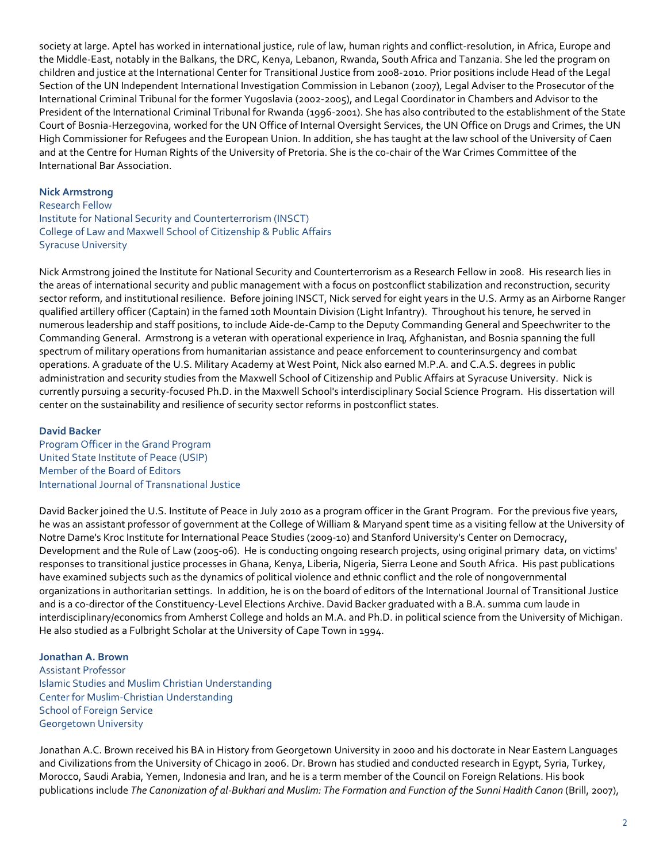society at large. Aptel has worked in international justice, rule of law, human rights and conflict-resolution, in Africa, Europe and the Middle-East, notably in the Balkans, the DRC, Kenya, Lebanon, Rwanda, South Africa and Tanzania. She led the program on children and justice at the International Center for Transitional Justice from 2008-2010. Prior positions include Head of the Legal Section of the UN Independent International Investigation Commission in Lebanon (2007), Legal Adviser to the Prosecutor of the International Criminal Tribunal for the former Yugoslavia (2002-2005), and Legal Coordinator in Chambers and Advisor to the President of the International Criminal Tribunal for Rwanda (1996-2001). She has also contributed to the establishment of the State Court of Bosnia-Herzegovina, worked for the UN Office of Internal Oversight Services, the UN Office on Drugs and Crimes, the UN High Commissioner for Refugees and the European Union. In addition, she has taught at the law school of the University of Caen and at the Centre for Human Rights of the University of Pretoria. She is the co-chair of the War Crimes Committee of the International Bar Association.

## **Nick Armstrong**

Research Fellow Institute for National Security and Counterterrorism (INSCT) College of Law and Maxwell School of Citizenship & Public Affairs Syracuse University

Nick Armstrong joined the Institute for National Security and Counterterrorism as a Research Fellow in 2008. His research lies in the areas of international security and public management with a focus on postconflict stabilization and reconstruction, security sector reform, and institutional resilience. Before joining INSCT, Nick served for eight years in the U.S. Army as an Airborne Ranger qualified artillery officer (Captain) in the famed 10th Mountain Division (Light Infantry). Throughout his tenure, he served in numerous leadership and staff positions, to include Aide-de-Camp to the Deputy Commanding General and Speechwriter to the Commanding General. Armstrong is a veteran with operational experience in Iraq, Afghanistan, and Bosnia spanning the full spectrum of military operations from humanitarian assistance and peace enforcement to counterinsurgency and combat operations. A graduate of the U.S. Military Academy at West Point, Nick also earned M.P.A. and C.A.S. degrees in public administration and security studies from the Maxwell School of Citizenship and Public Affairs at Syracuse University. Nick is currently pursuing a security-focused Ph.D. in the Maxwell School's interdisciplinary Social Science Program. His dissertation will center on the sustainability and resilience of security sector reforms in postconflict states.

## **David Backer**

Program Officer in the Grand Program United State Institute of Peace (USIP) Member of the Board of Editors International Journal of Transnational Justice

David Backer joined the U.S. Institute of Peace in July 2010 as a program officer in the Grant Program. For the previous five years, he was an assistant professor of government at the College of William & Maryand spent time as a visiting fellow at the University of Notre Dame's Kroc Institute for International Peace Studies (2009-10) and Stanford University's Center on Democracy, Development and the Rule of Law (2005-06). He is conducting ongoing research projects, using original primary data, on victims' responses to transitional justice processes in Ghana, Kenya, Liberia, Nigeria, Sierra Leone and South Africa. His past publications have examined subjects such as the dynamics of political violence and ethnic conflict and the role of nongovernmental organizations in authoritarian settings. In addition, he is on the board of editors of the International Journal of Transitional Justice and is a co-director of the Constituency-Level Elections Archive. David Backer graduated with a B.A. summa cum laude in interdisciplinary/economics from Amherst College and holds an M.A. and Ph.D. in political science from the University of Michigan. He also studied as a Fulbright Scholar at the University of Cape Town in 1994.

#### **Jonathan A. Brown**

Assistant Professor Islamic Studies and Muslim Christian Understanding Center for Muslim-Christian Understanding School of Foreign Service Georgetown University

Jonathan A.C. Brown received his BA in History from Georgetown University in 2000 and his doctorate in Near Eastern Languages and Civilizations from the University of Chicago in 2006. Dr. Brown has studied and conducted research in Egypt, Syria, Turkey, Morocco, Saudi Arabia, Yemen, Indonesia and Iran, and he is a term member of the Council on Foreign Relations. His book publications include *The Canonization of al-Bukhari and Muslim: The Formation and Function of the Sunni Hadith Canon* (Brill, 2007),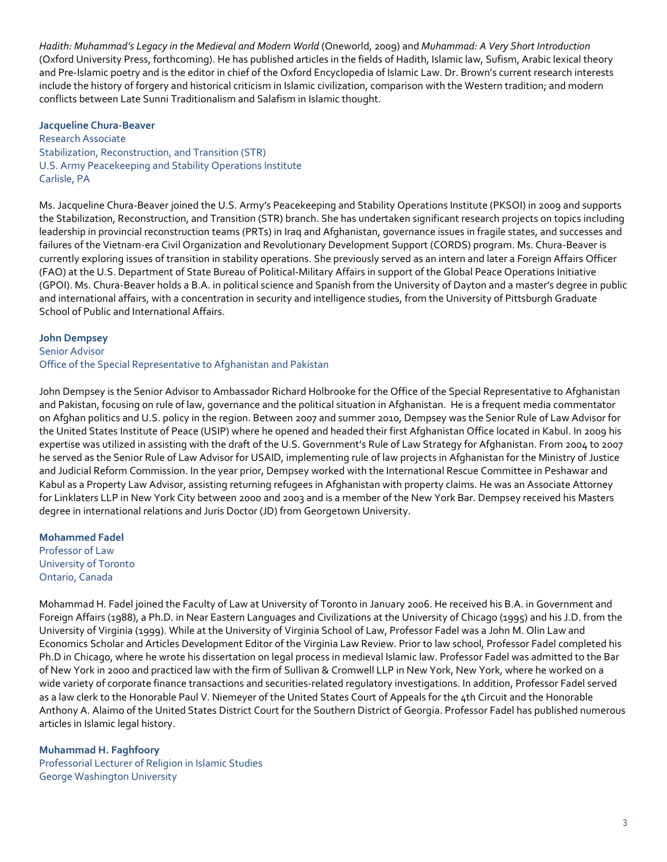*Hadith: Muhammad's Legacy in the Medieval and Modern World* (Oneworld, 2009) and *Muhammad: A Very Short Introduction* (Oxford University Press, forthcoming). He has published articles in the fields of Hadith, Islamic law, Sufism, Arabic lexical theory and Pre-Islamic poetry and is the editor in chief of the Oxford Encyclopedia of Islamic Law. Dr. Brown's current research interests include the history of forgery and historical criticism in Islamic civilization, comparison with the Western tradition; and modern conflicts between Late Sunni Traditionalism and Salafism in Islamic thought.

#### **Jacqueline Chura-Beaver**

Research Associate Stabilization, Reconstruction, and Transition (STR) U.S. Army Peacekeeping and Stability Operations Institute Carlisle, PA

Ms. Jacqueline Chura-Beaver joined the U.S. Army's Peacekeeping and Stability Operations Institute (PKSOI) in 2009 and supports the Stabilization, Reconstruction, and Transition (STR) branch. She has undertaken significant research projects on topics including leadership in provincial reconstruction teams (PRTs) in Iraq and Afghanistan, governance issues in fragile states, and successes and failures of the Vietnam-era Civil Organization and Revolutionary Development Support (CORDS) program. Ms. Chura-Beaver is currently exploring issues of transition in stability operations. She previously served as an intern and later a Foreign Affairs Officer (FAO) at the U.S. Department of State Bureau of Political-Military Affairs in support of the Global Peace Operations Initiative (GPOI). Ms. Chura-Beaver holds a B.A. in political science and Spanish from the University of Dayton and a master's degree in public and international affairs, with a concentration in security and intelligence studies, from the University of Pittsburgh Graduate School of Public and International Affairs.

#### **John Dempsey**

# Senior Advisor Office of the Special Representative to Afghanistan and Pakistan

John Dempsey is the Senior Advisor to Ambassador Richard Holbrooke for the Office of the Special Representative to Afghanistan and Pakistan, focusing on rule of law, governance and the political situation in Afghanistan. He is a frequent media commentator on Afghan politics and U.S. policy in the region. Between 2007 and summer 2010, Dempsey was the Senior Rule of Law Advisor for the United States Institute of Peace (USIP) where he opened and headed their first Afghanistan Office located in Kabul. In 2009 his expertise was utilized in assisting with the draft of the U.S. Government's Rule of Law Strategy for Afghanistan. From 2004 to 2007 he served as the Senior Rule of Law Advisor for USAID, implementing rule of law projects in Afghanistan for the Ministry of Justice and Judicial Reform Commission. In the year prior, Dempsey worked with the International Rescue Committee in Peshawar and Kabul as a Property Law Advisor, assisting returning refugees in Afghanistan with property claims. He was an Associate Attorney for Linklaters LLP in New York City between 2000 and 2003 and is a member of the New York Bar. Dempsey received his Masters degree in international relations and Juris Doctor (JD) from Georgetown University.

# **Mohammed Fadel** Professor of Law University of Toronto Ontario, Canada

Mohammad H. Fadel joined the Faculty of Law at University of Toronto in January 2006. He received his B.A. in Government and Foreign Affairs (1988), a Ph.D. in Near Eastern Languages and Civilizations at the University of Chicago (1995) and his J.D. from the University of Virginia (1999). While at the University of Virginia School of Law, Professor Fadel was a John M. Olin Law and Economics Scholar and Articles Development Editor of the Virginia Law Review. Prior to law school, Professor Fadel completed his Ph.D in Chicago, where he wrote his dissertation on legal process in medieval Islamic law. Professor Fadel was admitted to the Bar of New York in 2000 and practiced law with the firm of Sullivan & Cromwell LLP in New York, New York, where he worked on a wide variety of corporate finance transactions and securities-related regulatory investigations. In addition, Professor Fadel served as a law clerk to the Honorable Paul V. Niemeyer of the United States Court of Appeals for the 4th Circuit and the Honorable Anthony A. Alaimo of the United States District Court for the Southern District of Georgia. Professor Fadel has published numerous articles in Islamic legal history.

## **Muhammad H. Faghfoory**

Professorial Lecturer of Religion in Islamic Studies George Washington University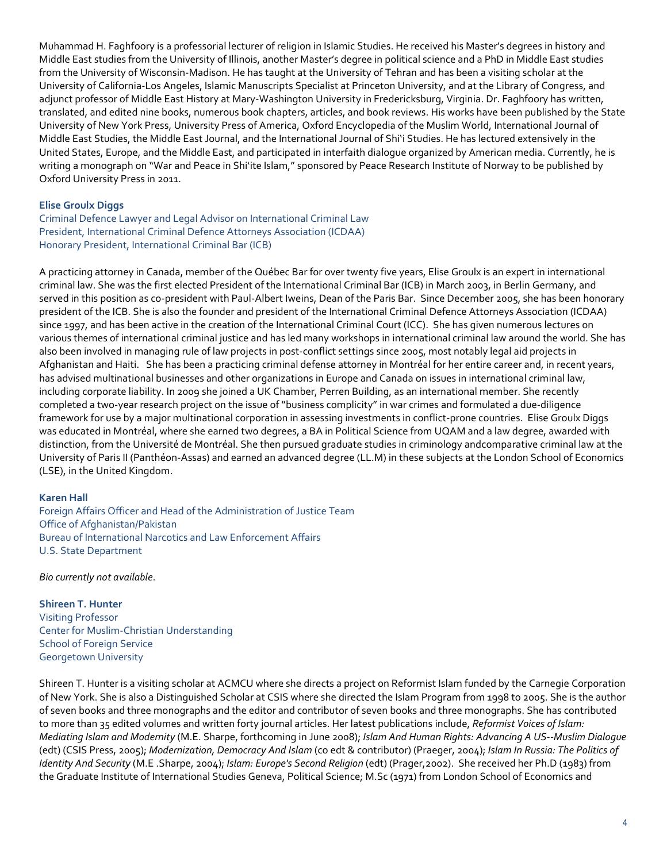Muhammad H. Faghfoory is a professorial lecturer of religion in Islamic Studies. He received his Master's degrees in history and Middle East studies from the University of Illinois, another Master's degree in political science and a PhD in Middle East studies from the University of Wisconsin-Madison. He has taught at the University of Tehran and has been a visiting scholar at the University of California-Los Angeles, Islamic Manuscripts Specialist at Princeton University, and at the Library of Congress, and adjunct professor of Middle East History at Mary-Washington University in Fredericksburg, Virginia. Dr. Faghfoory has written, translated, and edited nine books, numerous book chapters, articles, and book reviews. His works have been published by the State University of New York Press, University Press of America, Oxford Encyclopedia of the Muslim World, International Journal of Middle East Studies, the Middle East Journal, and the International Journal of Shi'i Studies. He has lectured extensively in the United States, Europe, and the Middle East, and participated in interfaith dialogue organized by American media. Currently, he is writing a monograph on "War and Peace in Shi'ite Islam," sponsored by Peace Research Institute of Norway to be published by Oxford University Press in 2011.

# **Elise Groulx Diggs**

Criminal Defence Lawyer and Legal Advisor on International Criminal Law President, International Criminal Defence Attorneys Association (ICDAA) Honorary President, International Criminal Bar (ICB)

A practicing attorney in Canada, member of the Québec Bar for over twenty five years, Elise Groulx is an expert in international criminal law. She was the first elected President of the International Criminal Bar (ICB) in March 2003, in Berlin Germany, and served in this position as co-president with Paul-Albert Iweins, Dean of the Paris Bar. Since December 2005, she has been honorary president of the ICB. She is also the founder and president of the International Criminal Defence Attorneys Association (ICDAA) since 1997, and has been active in the creation of the International Criminal Court (ICC). She has given numerous lectures on various themes of international criminal justice and has led many workshops in international criminal law around the world. She has also been involved in managing rule of law projects in post-conflict settings since 2005, most notably legal aid projects in Afghanistan and Haiti. She has been a practicing criminal defense attorney in Montréal for her entire career and, in recent years, has advised multinational businesses and other organizations in Europe and Canada on issues in international criminal law, including corporate liability. In 2009 she joined a UK Chamber, Perren Building, as an international member. She recently completed a two-year research project on the issue of "business complicity" in war crimes and formulated a due-diligence framework for use by a major multinational corporation in assessing investments in conflict-prone countries. Elise Groulx Diggs was educated in Montréal, where she earned two degrees, a BA in Political Science from UQAM and a law degree, awarded with distinction, from the Université de Montréal. She then pursued graduate studies in criminology andcomparative criminal law at the University of Paris II (Panthéon-Assas) and earned an advanced degree (LL.M) in these subjects at the London School of Economics (LSE), in the United Kingdom.

## **Karen Hall**

Foreign Affairs Officer and Head of the Administration of Justice Team Office of Afghanistan/Pakistan Bureau of International Narcotics and Law Enforcement Affairs U.S. State Department

*Bio currently not available*.

**Shireen T. Hunter** Visiting Professor Center for Muslim-Christian Understanding School of Foreign Service Georgetown University

Shireen T. Hunter is a visiting scholar at ACMCU where she directs a project on Reformist Islam funded by the Carnegie Corporation of New York. She is also a Distinguished Scholar at CSIS where she directed the Islam Program from 1998 to 2005. She is the author of seven books and three monographs and the editor and contributor of seven books and three monographs. She has contributed to more than 35 edited volumes and written forty journal articles. Her latest publications include, *Reformist Voices of Islam: Mediating Islam and Modernity* (M.E. Sharpe, forthcoming in June 2008); *Islam And Human Rights: Advancing A US--Muslim Dialogue* (edt) (CSIS Press, 2005); *Modernization, Democracy And Islam* (co edt & contributor) (Praeger, 2004); *Islam In Russia: The Politics of Identity And Security* (M.E .Sharpe, 2004); *Islam: Europe's Second Religion* (edt) (Prager,2002). She received her Ph.D (1983) from the Graduate Institute of International Studies Geneva, Political Science; M.Sc (1971) from London School of Economics and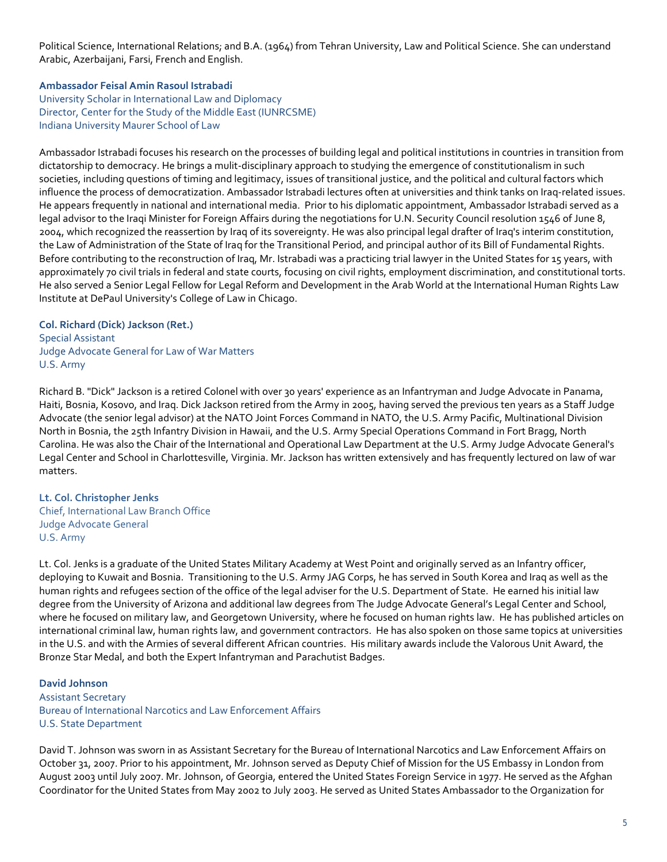Political Science, International Relations; and B.A. (1964) from Tehran University, Law and Political Science. She can understand Arabic, Azerbaijani, Farsi, French and English.

## **Ambassador Feisal Amin Rasoul Istrabadi**

University Scholar in International Law and Diplomacy Director, Center for the Study of the Middle East (IUNRCSME) Indiana University Maurer School of Law

Ambassador Istrabadi focuses his research on the processes of building legal and political institutions in countries in transition from dictatorship to democracy. He brings a mulit-disciplinary approach to studying the emergence of constitutionalism in such societies, including questions of timing and legitimacy, issues of transitional justice, and the political and cultural factors which influence the process of democratization. Ambassador Istrabadi lectures often at universities and think tanks on Iraq-related issues. He appears frequently in national and international media. Prior to his diplomatic appointment, Ambassador Istrabadi served as a legal advisor to the Iraqi Minister for Foreign Affairs during the negotiations for U.N. Security Council resolution 1546 of June 8, 2004, which recognized the reassertion by Iraq of its sovereignty. He was also principal legal drafter of Iraq's interim constitution, the Law of Administration of the State of Iraq for the Transitional Period, and principal author of its Bill of Fundamental Rights. Before contributing to the reconstruction of Iraq, Mr. Istrabadi was a practicing trial lawyer in the United States for 15 years, with approximately 70 civil trials in federal and state courts, focusing on civil rights, employment discrimination, and constitutional torts. He also served a Senior Legal Fellow for Legal Reform and Development in the Arab World at the International Human Rights Law Institute at DePaul University's College of Law in Chicago.

**Col. Richard (Dick) Jackson (Ret.)** Special Assistant Judge Advocate General for Law of War Matters U.S. Army

Richard B. "Dick" Jackson is a retired Colonel with over 30 years' experience as an Infantryman and Judge Advocate in Panama, Haiti, Bosnia, Kosovo, and Iraq. Dick Jackson retired from the Army in 2005, having served the previous ten years as a Staff Judge Advocate (the senior legal advisor) at the NATO Joint Forces Command in NATO, the U.S. Army Pacific, Multinational Division North in Bosnia, the 25th Infantry Division in Hawaii, and the U.S. Army Special Operations Command in Fort Bragg, North Carolina. He was also the Chair of the International and Operational Law Department at the U.S. Army Judge Advocate General's Legal Center and School in Charlottesville, Virginia. Mr. Jackson has written extensively and has frequently lectured on law of war matters.

**Lt. Col. Christopher Jenks** Chief, International Law Branch Office Judge Advocate General U.S. Army

Lt. Col. Jenks is a graduate of the United States Military Academy at West Point and originally served as an Infantry officer, deploying to Kuwait and Bosnia. Transitioning to the U.S. Army JAG Corps, he has served in South Korea and Iraq as well as the human rights and refugees section of the office of the legal adviser for the U.S. Department of State. He earned his initial law degree from the University of Arizona and additional law degrees from The Judge Advocate General's Legal Center and School, where he focused on military law, and Georgetown University, where he focused on human rights law. He has published articles on international criminal law, human rights law, and government contractors. He has also spoken on those same topics at universities in the U.S. and with the Armies of several different African countries. His military awards include the Valorous Unit Award, the Bronze Star Medal, and both the Expert Infantryman and Parachutist Badges.

**David Johnson** Assistant Secretary Bureau of International Narcotics and Law Enforcement Affairs U.S. State Department

David T. Johnson was sworn in as Assistant Secretary for the Bureau of International Narcotics and Law Enforcement Affairs on October 31, 2007. Prior to his appointment, Mr. Johnson served as Deputy Chief of Mission for the US Embassy in London from August 2003 until July 2007. Mr. Johnson, of Georgia, entered the United States Foreign Service in 1977. He served as the Afghan Coordinator for the United States from May 2002 to July 2003. He served as United States Ambassador to the Organization for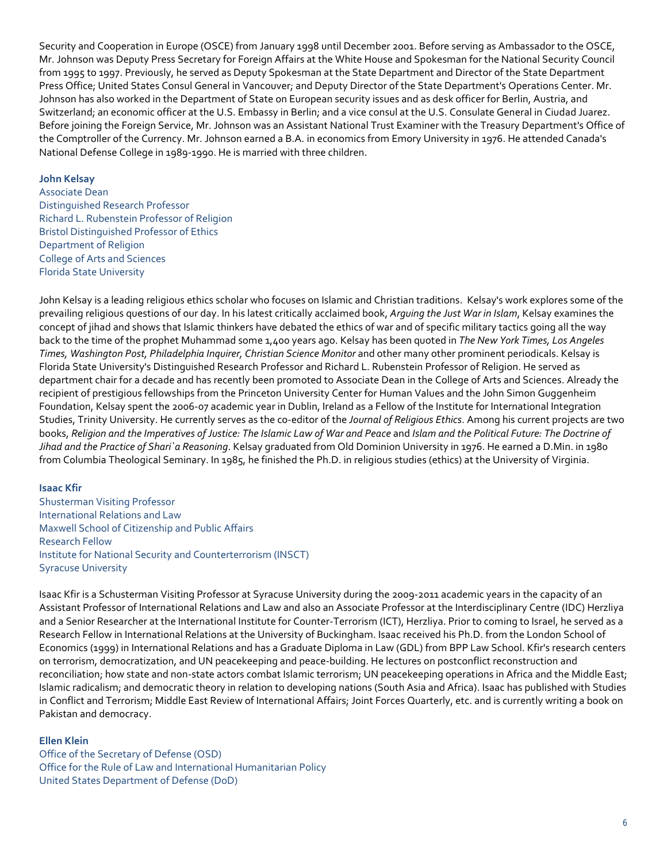Security and Cooperation in Europe (OSCE) from January 1998 until December 2001. Before serving as Ambassador to the OSCE, Mr. Johnson was Deputy Press Secretary for Foreign Affairs at the White House and Spokesman for the National Security Council from 1995 to 1997. Previously, he served as Deputy Spokesman at the State Department and Director of the State Department Press Office; United States Consul General in Vancouver; and Deputy Director of the State Department's Operations Center. Mr. Johnson has also worked in the Department of State on European security issues and as desk officer for Berlin, Austria, and Switzerland; an economic officer at the U.S. Embassy in Berlin; and a vice consul at the U.S. Consulate General in Ciudad Juarez. Before joining the Foreign Service, Mr. Johnson was an Assistant National Trust Examiner with the Treasury Department's Office of the Comptroller of the Currency. Mr. Johnson earned a B.A. in economics from Emory University in 1976. He attended Canada's National Defense College in 1989-1990. He is married with three children.

#### **John Kelsay**

Associate Dean Distinguished Research Professor Richard L. Rubenstein Professor of Religion Bristol Distinguished Professor of Ethics Department of Religion College of Arts and Sciences Florida State University

John Kelsay is a leading religious ethics scholar who focuses on Islamic and Christian traditions. Kelsay's work explores some of the prevailing religious questions of our day. In his latest critically acclaimed book, *Arguing the Just War in Islam*, Kelsay examines the concept of jihad and shows that Islamic thinkers have debated the ethics of war and of specific military tactics going all the way back to the time of the prophet Muhammad some 1,400 years ago. Kelsay has been quoted in *The New York Times, Los Angeles Times, Washington Post, Philadelphia Inquirer, Christian Science Monitor* and other many other prominent periodicals. Kelsay is Florida State University's Distinguished Research Professor and Richard L. Rubenstein Professor of Religion. He served as department chair for a decade and has recently been promoted to Associate Dean in the College of Arts and Sciences. Already the recipient of prestigious fellowships from the Princeton University Center for Human Values and the John Simon Guggenheim Foundation, Kelsay spent the 2006-07 academic year in Dublin, Ireland as a Fellow of the Institute for International Integration Studies, Trinity University. He currently serves as the co-editor of the *Journal of Religious Ethics*. Among his current projects are two books, *Religion and the Imperatives of Justice: The Islamic Law of War and Peace* and *Islam and the Political Future: The Doctrine of Jihad and the Practice of Shari`a Reasoning*. Kelsay graduated from Old Dominion University in 1976. He earned a D.Min. in 1980 from Columbia Theological Seminary. In 1985, he finished the Ph.D. in religious studies (ethics) at the University of Virginia.

#### **Isaac Kfir**

Shusterman Visiting Professor International Relations and Law Maxwell School of Citizenship and Public Affairs Research Fellow Institute for National Security and Counterterrorism (INSCT) Syracuse University

Isaac Kfir is a Schusterman Visiting Professor at Syracuse University during the 2009-2011 academic years in the capacity of an Assistant Professor of International Relations and Law and also an Associate Professor at the Interdisciplinary Centre (IDC) Herzliya and a Senior Researcher at the International Institute for Counter-Terrorism (ICT), Herzliya. Prior to coming to Israel, he served as a Research Fellow in International Relations at the University of Buckingham. Isaac received his Ph.D. from the London School of Economics (1999) in International Relations and has a Graduate Diploma in Law (GDL) from BPP Law School. Kfir's research centers on terrorism, democratization, and UN peacekeeping and peace-building. He lectures on postconflict reconstruction and reconciliation; how state and non-state actors combat Islamic terrorism; UN peacekeeping operations in Africa and the Middle East; Islamic radicalism; and democratic theory in relation to developing nations (South Asia and Africa). Isaac has published with Studies in Conflict and Terrorism; Middle East Review of International Affairs; Joint Forces Quarterly, etc. and is currently writing a book on Pakistan and democracy.

#### **Ellen Klein**

Office of the Secretary of Defense (OSD) Office for the Rule of Law and International Humanitarian Policy United States Department of Defense (DoD)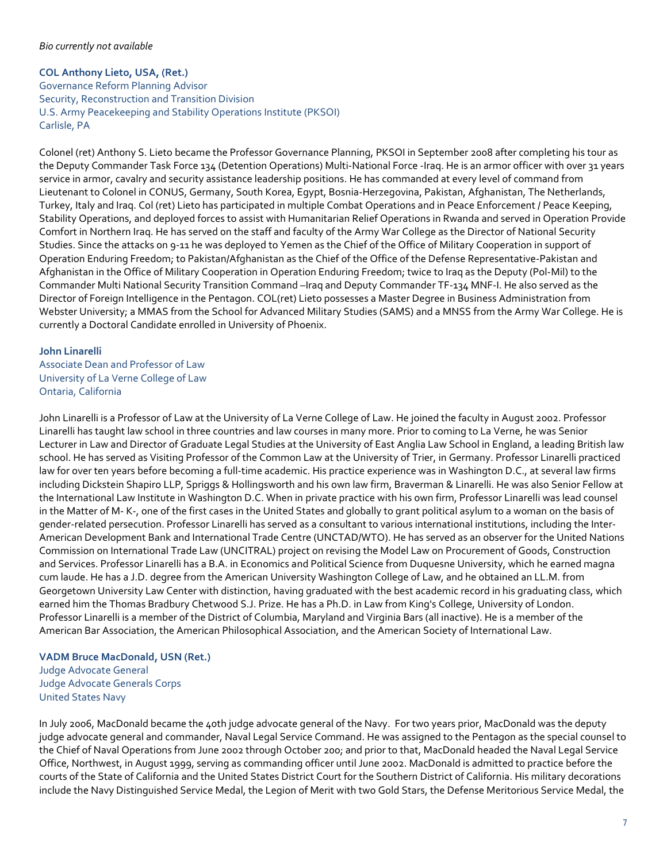## *Bio currently not available*

# **COL Anthony Lieto, USA, (Ret.)**

Governance Reform Planning Advisor Security, Reconstruction and Transition Division U.S. Army Peacekeeping and Stability Operations Institute (PKSOI) Carlisle, PA

Colonel (ret) Anthony S. Lieto became the Professor Governance Planning, PKSOI in September 2008 after completing his tour as the Deputy Commander Task Force 134 (Detention Operations) Multi-National Force -Iraq. He is an armor officer with over 31 years service in armor, cavalry and security assistance leadership positions. He has commanded at every level of command from Lieutenant to Colonel in CONUS, Germany, South Korea, Egypt, Bosnia-Herzegovina, Pakistan, Afghanistan, The Netherlands, Turkey, Italy and Iraq. Col (ret) Lieto has participated in multiple Combat Operations and in Peace Enforcement / Peace Keeping, Stability Operations, and deployed forces to assist with Humanitarian Relief Operations in Rwanda and served in Operation Provide Comfort in Northern Iraq. He has served on the staff and faculty of the Army War College as the Director of National Security Studies. Since the attacks on 9-11 he was deployed to Yemen as the Chief of the Office of Military Cooperation in support of Operation Enduring Freedom; to Pakistan/Afghanistan as the Chief of the Office of the Defense Representative-Pakistan and Afghanistan in the Office of Military Cooperation in Operation Enduring Freedom; twice to Iraq as the Deputy (Pol-Mil) to the Commander Multi National Security Transition Command –Iraq and Deputy Commander TF-134 MNF-I. He also served as the Director of Foreign Intelligence in the Pentagon. COL(ret) Lieto possesses a Master Degree in Business Administration from Webster University; a MMAS from the School for Advanced Military Studies (SAMS) and a MNSS from the Army War College. He is currently a Doctoral Candidate enrolled in University of Phoenix.

## **John Linarelli**

Associate Dean and Professor of Law University of La Verne College of Law Ontaria, California

John Linarelli is a Professor of Law at th[e University of La Verne College of Law.](http://law.ulv.edu/) He joined the faculty in August 2002. Professor Linarelli has taught law school in three countries and law courses in many more. Prior to coming to La Verne, he was Senior Lecturer in Law and Director of Graduate Legal Studies at th[e University of East Anglia Law School](http://www.uea.ac.uk/) in England, a leading British law school. He has served as Visiting Professor of the Common Law at th[e University of Trier,](http://www.uni-trier.de/) in Germany. Professor Linarelli practiced law for over ten years before becoming a full-time academic. His practice experience was in Washington D.C., at several law firms includin[g Dickstein Shapiro LLP,](http://www.dsmo.com/) [Spriggs & Hollingsworth](http://www.spriggs.com/index.cfm?fuseaction=spriggs_home) and his own law firm, Braverman & Linarelli. He was also Senior Fellow at the [International Law Institute](http://www.ili.org/) in Washington D.C. When in private practice with his own firm, Professor Linarelli was lead counsel in th[e Matter](http://www.uchastings.edu/cgrs/law/ij/41.html) of M- K-, one of the first cases in the United States and globally to grant political asylum to a woman on the basis of gender-related persecution. Professor Linarelli has served as a consultant to various international institutions, including the Inter-American Development Bank and International Trade Centre (UNCTAD/WTO). He has served as an observer for the United Nations Commission on International Trade Law (UNCITRAL) project on revising the Model Law on Procurement of Goods, Construction and Services. Professor Linarelli has a B.A. in Economics and Political Science fro[m Duquesne University,](http://www.duq.edu/) which he earned magna cum laude. He has a J.D. degree from th[e American University Washington College of Law,](http://www.wcl.american.edu/) and he obtained an LL.M. from [Georgetown University Law Center](http://www.law.georgetown.edu/) with distinction, having graduated with the best academic record in his graduating class, which earned him the Thomas Bradbury Chetwood S.J. Prize. He has a Ph.D. in Law from [King's College, University of London.](http://www.kcl.ac.uk/schools/law/) Professor Linarelli is a member of the District of Columbia, Maryland and Virginia Bars (all inactive). He is a member of the American Bar Association, the American Philosophical Association, and the American Society of International Law.

## **VADM Bruce MacDonald, USN (Ret.)**

Judge Advocate General Judge Advocate Generals Corps United States Navy

In July 2006, MacDonald became the 40th judge advocate general of the Navy. For two years prior, MacDonald was the deputy judge advocate general and commander, Naval Legal Service Command. He was assigned to the Pentagon as the special counsel to the Chief of Naval Operations from June 2002 through October 200; and prior to that, MacDonald headed the Naval Legal Service Office, Northwest, in August 1999, serving as commanding officer until June 2002. MacDonald is admitted to practice before the courts of the State of California and the United States District Court for the Southern District of California. His military decorations include the Navy Distinguished Service Medal, the Legion of Merit with two Gold Stars, the Defense Meritorious Service Medal, the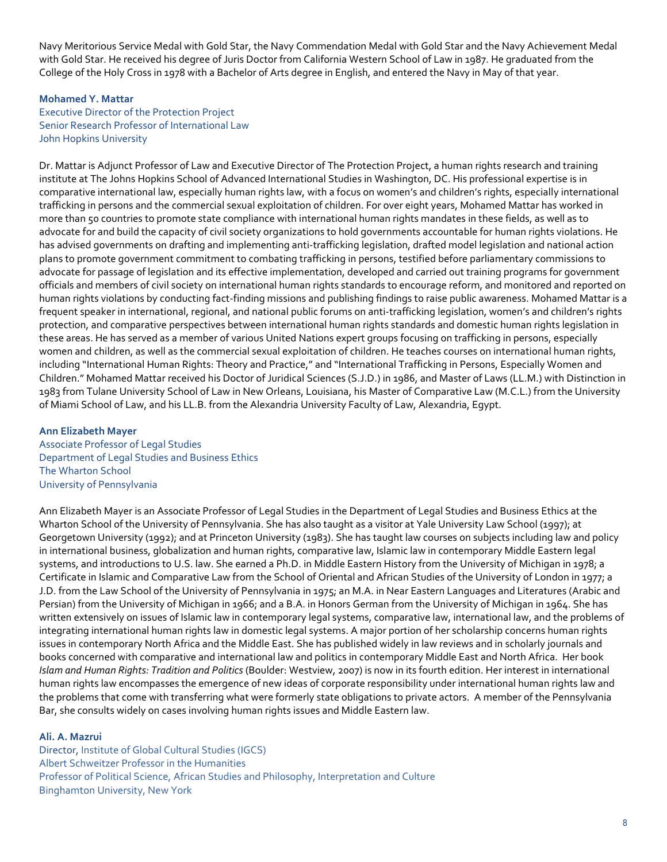Navy Meritorious Service Medal with Gold Star, the Navy Commendation Medal with Gold Star and the Navy Achievement Medal with Gold Star. He received his degree of Juris Doctor from California Western School of Law in 1987. He graduated from the College of the Holy Cross in 1978 with a Bachelor of Arts degree in English, and entered the Navy in May of that year.

# **Mohamed Y. Mattar**

Executive Director of the Protection Project Senior Research Professor of International Law John Hopkins University

Dr. Mattar is Adjunct Professor of Law and Executive Director of The Protection Project, a human rights research and training institute at The Johns Hopkins School of Advanced International Studies in Washington, DC. His professional expertise is in comparative international law, especially human rights law, with a focus on women's and children's rights, especially international trafficking in persons and the commercial sexual exploitation of children. For over eight years, Mohamed Mattar has worked in more than 50 countries to promote state compliance with international human rights mandates in these fields, as well as to advocate for and build the capacity of civil society organizations to hold governments accountable for human rights violations. He has advised governments on drafting and implementing anti-trafficking legislation, drafted model legislation and national action plans to promote government commitment to combating trafficking in persons, testified before parliamentary commissions to advocate for passage of legislation and its effective implementation, developed and carried out training programs for government officials and members of civil society on international human rights standards to encourage reform, and monitored and reported on human rights violations by conducting fact-finding missions and publishing findings to raise public awareness. Mohamed Mattar is a frequent speaker in international, regional, and national public forums on anti-trafficking legislation, women's and children's rights protection, and comparative perspectives between international human rights standards and domestic human rights legislation in these areas. He has served as a member of various United Nations expert groups focusing on trafficking in persons, especially women and children, as well as the commercial sexual exploitation of children. He teaches courses on international human rights, including "International Human Rights: Theory and Practice," and "International Trafficking in Persons, Especially Women and Children." Mohamed Mattar received his Doctor of Juridical Sciences (S.J.D.) in 1986, and Master of Laws (LL.M.) with Distinction in 1983 from Tulane University School of Law in New Orleans, Louisiana, his Master of Comparative Law (M.C.L.) from the University of Miami School of Law, and his LL.B. from the Alexandria University Faculty of Law, Alexandria, Egypt.

## **Ann Elizabeth Mayer**

Associate Professor of Legal Studies Department of Legal Studies and Business Ethics The Wharton School University of Pennsylvania

Ann Elizabeth Mayer is an Associate Professor of Legal Studies in the Department of Legal Studies and Business Ethics at the Wharton School of the University of Pennsylvania. She has also taught as a visitor at Yale University Law School (1997); at Georgetown University (1992); and at Princeton University (1983). She has taught law courses on subjects including law and policy in international business, globalization and human rights, comparative law, Islamic law in contemporary Middle Eastern legal systems, and introductions to U.S. law. She earned a Ph.D. in Middle Eastern History from the University of Michigan in 1978; a Certificate in Islamic and Comparative Law from the School of Oriental and African Studies of the University of London in 1977; a J.D. from the Law School of the University of Pennsylvania in 1975; an M.A. in Near Eastern Languages and Literatures (Arabic and Persian) from the University of Michigan in 1966; and a B.A. in Honors German from the University of Michigan in 1964. She has written extensively on issues of Islamic law in contemporary legal systems, comparative law, international law, and the problems of integrating international human rights law in domestic legal systems. A major portion of her scholarship concerns human rights issues in contemporary North Africa and the Middle East. She has published widely in law reviews and in scholarly journals and books concerned with comparative and international law and politics in contemporary Middle East and North Africa. Her book *Islam and Human Rights: Tradition and Politics* (Boulder: Westview, 2007) is now in its fourth edition. Her interest in international human rights law encompasses the emergence of new ideas of corporate responsibility under international human rights law and the problems that come with transferring what were formerly state obligations to private actors. A member of the Pennsylvania Bar, she consults widely on cases involving human rights issues and Middle Eastern law.

## **Ali. A. Mazrui**

Director, Institute of Global Cultural Studies (IGCS) Albert Schweitzer Professor in the Humanities Professor of Political Science, African Studies and Philosophy, Interpretation and Culture Binghamton University, New York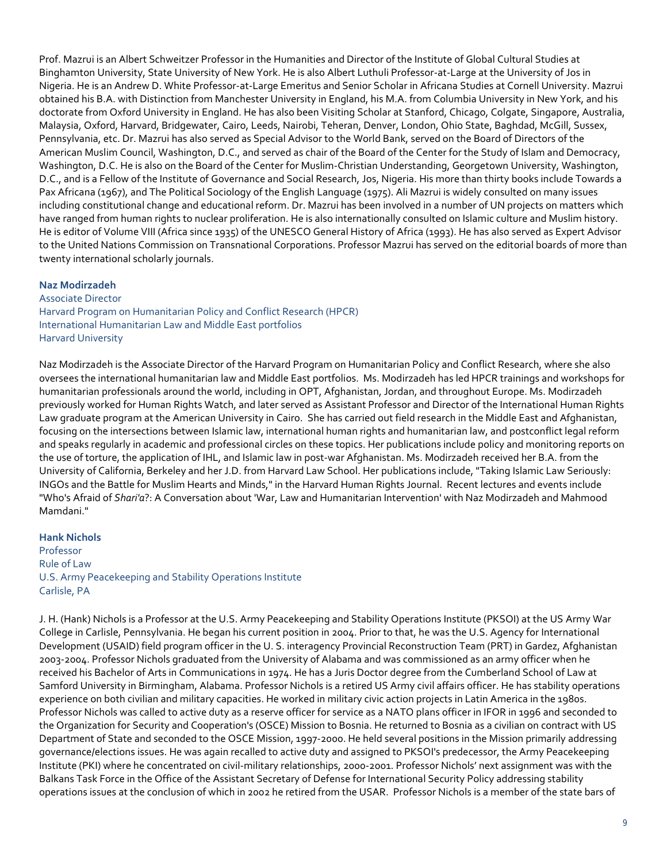Prof. Mazrui is an Albert Schweitzer Professor in the Humanities and Director of th[e Institute of Global Cultural Studies](http://igcs.binghamton.edu/) at Binghamton University, State University of New York. He is also Albert Luthuli Professor-at-Large at th[e University of Jos](http://128.255.135.155/) in Nigeria. He is an Andrew D. White Professor-at-Large Emeritus and Senior Scholar in [Africana Studies at Cornell University.](http://www.asrc.cornell.edu/) Mazrui obtained his B.A. with Distinction fro[m Manchester University](http://www.man.ac.uk/) in England, his M.A. from [Columbia University](http://www.columbia.edu/cu/polisci/) in New York, and his doctorate fro[m Oxford University](http://www.ox.ac.uk/) in England. He has also been Visiting Scholar at Stanford, Chicago, Colgate, Singapore, Australia, Malaysia, Oxford, Harvard, Bridgewater, Cairo, Leeds, Nairobi, Teheran, Denver, London, Ohio State, Baghdad, McGill, Sussex, Pennsylvania, etc. Dr. Mazrui has also served as Special Advisor to th[e World Bank,](http://www.worldbank.org/) served on the Board of Directors of the [American Muslim Council,](http://www.amcnational.org/new/index.asp) Washington, D.C., and served as chair of the Board of the Center for the Study of Islam and Democracy, Washington, D.C. He is also on the Board of the Center for Muslim-Christian Understanding, Georgetown University, Washington, D.C., and is a Fellow of the Institute of Governance and Social Research, Jos, Nigeria. His more than thirty books include Towards a Pax Africana (1967), and The Political Sociology of the English Language (1975). Ali Mazrui is widely consulted on many issues including constitutional change and educational reform. Dr. Mazrui has been involved in a number of UN projects on matters which have ranged from human rights to nuclear proliferation. He is also internationally consulted on Islamic culture and Muslim history. He is editor of Volume VIII (Africa since 1935) of the UNESCO General History of Africa (1993). He has also served as Expert Advisor to the United Nations Commission on Transnational Corporations. Professor Mazrui has served on the editorial boards of more than twenty international scholarly journals.

#### **Naz Modirzadeh**

Associate Director Harvard Program on Humanitarian Policy and Conflict Research (HPCR) International Humanitarian Law and Middle East portfolios Harvard University

Naz Modirzadeh is the Associate Director of the Harvard Program on Humanitarian Policy and Conflict Research, where she also oversees the international humanitarian law and Middle East portfolios. Ms. Modirzadeh has led HPCR trainings and workshops for humanitarian professionals around the world, including in OPT, Afghanistan, Jordan, and throughout Europe. Ms. Modirzadeh previously worked for Human Rights Watch, and later served as Assistant Professor and Director of the International Human Rights Law graduate program at the American University in Cairo. She has carried out field research in the Middle East and Afghanistan, focusing on the intersections between Islamic law, international human rights and humanitarian law, and postconflict legal reform and speaks regularly in academic and professional circles on these topics. Her publications include policy and monitoring reports on the use of torture, the application of IHL, and Islamic law in post-war Afghanistan. Ms. Modirzadeh received her B.A. from the University of California, Berkeley and her J.D. from Harvard Law School. Her publications include, "Taking Islamic Law Seriously: INGOs and the Battle for Muslim Hearts and Minds," in the Harvard Human Rights Journal. Recent lectures and events include "Who's Afraid of *Shari'a*?: A Conversation about 'War, Law and Humanitarian Intervention' with Naz Modirzadeh and Mahmood Mamdani."

#### **Hank Nichols**

Professor Rule of Law U.S. Army Peacekeeping and Stability Operations Institute Carlisle, PA

J. H. (Hank) Nichols is a Professor at the U.S. Army Peacekeeping and Stability Operations Institute (PKSOI) at the US Army War College in Carlisle, Pennsylvania. He began his current position in 2004. Prior to that, he was the U.S. Agency for International Development (USAID) field program officer in the U. S. interagency Provincial Reconstruction Team (PRT) in Gardez, Afghanistan 2003-2004. Professor Nichols graduated from the University of Alabama and was commissioned as an army officer when he received his Bachelor of Arts in Communications in 1974. He has a Juris Doctor degree from the Cumberland School of Law at Samford University in Birmingham, Alabama. Professor Nichols is a retired US Army civil affairs officer. He has stability operations experience on both civilian and military capacities. He worked in military civic action projects in Latin America in the 1980s. Professor Nichols was called to active duty as a reserve officer for service as a NATO plans officer in IFOR in 1996 and seconded to the Organization for Security and Cooperation's (OSCE) Mission to Bosnia. He returned to Bosnia as a civilian on contract with US Department of State and seconded to the OSCE Mission, 1997-2000. He held several positions in the Mission primarily addressing governance/elections issues. He was again recalled to active duty and assigned to PKSOI's predecessor, the Army Peacekeeping Institute (PKI) where he concentrated on civil-military relationships, 2000-2001. Professor Nichols' next assignment was with the Balkans Task Force in the Office of the Assistant Secretary of Defense for International Security Policy addressing stability operations issues at the conclusion of which in 2002 he retired from the USAR. Professor Nichols is a member of the state bars of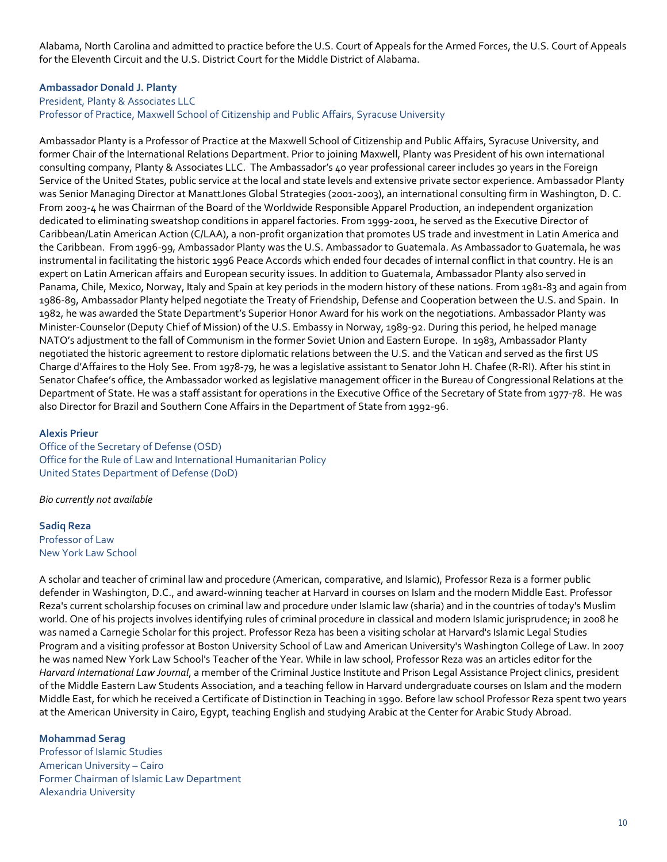Alabama, North Carolina and admitted to practice before the U.S. Court of Appeals for the Armed Forces, the U.S. Court of Appeals for the Eleventh Circuit and the U.S. District Court for the Middle District of Alabama.

## **Ambassador Donald J. Planty**

President, Planty & Associates LLC

Professor of Practice, Maxwell School of Citizenship and Public Affairs, Syracuse University

Ambassador Planty is a Professor of Practice at the Maxwell School of Citizenship and Public Affairs, Syracuse University, and former Chair of the International Relations Department. Prior to joining Maxwell, Planty was President of his own international consulting company, Planty & Associates LLC. The Ambassador's 40 year professional career includes 30 years in the Foreign Service of the United States, public service at the local and state levels and extensive private sector experience. Ambassador Planty was Senior Managing Director at ManattJones Global Strategies (2001-2003), an international consulting firm in Washington, D. C. From 2003-4 he was Chairman of the Board of the Worldwide Responsible Apparel Production, an independent organization dedicated to eliminating sweatshop conditions in apparel factories. From 1999-2001, he served as the Executive Director of Caribbean/Latin American Action (C/LAA), a non-profit organization that promotes US trade and investment in Latin America and the Caribbean. From 1996-99, Ambassador Planty was the U.S. Ambassador to Guatemala. As Ambassador to Guatemala, he was instrumental in facilitating the historic 1996 Peace Accords which ended four decades of internal conflict in that country. He is an expert on Latin American affairs and European security issues. In addition to Guatemala, Ambassador Planty also served in Panama, Chile, Mexico, Norway, Italy and Spain at key periods in the modern history of these nations. From 1981-83 and again from 1986-89, Ambassador Planty helped negotiate the Treaty of Friendship, Defense and Cooperation between the U.S. and Spain. In 1982, he was awarded the State Department's Superior Honor Award for his work on the negotiations. Ambassador Planty was Minister-Counselor (Deputy Chief of Mission) of the U.S. Embassy in Norway, 1989-92. During this period, he helped manage NATO's adjustment to the fall of Communism in the former Soviet Union and Eastern Europe. In 1983, Ambassador Planty negotiated the historic agreement to restore diplomatic relations between the U.S. and the Vatican and served as the first US Charge d'Affaires to the Holy See. From 1978-79, he was a legislative assistant to Senator John H. Chafee (R-RI). After his stint in Senator Chafee's office, the Ambassador worked as legislative management officer in the Bureau of Congressional Relations at the Department of State. He was a staff assistant for operations in the Executive Office of the Secretary of State from 1977-78. He was also Director for Brazil and Southern Cone Affairs in the Department of State from 1992-96.

#### **Alexis Prieur**

Office of the Secretary of Defense (OSD) Office for the Rule of Law and International Humanitarian Policy United States Department of Defense (DoD)

*Bio currently not available*

#### **Sadiq Reza** Professor of Law New York Law School

A scholar and teacher of criminal law and procedure (American, comparative, and Islamic), Professor Reza is a former public defender in Washington, D.C., and award-winning teacher at Harvard in courses on Islam and the modern Middle East. Professor Reza's current scholarship focuses on criminal law and procedure under Islamic law (sharia) and in the countries of today's Muslim world. One of his projects involves identifying rules of criminal procedure in classical and modern Islamic jurisprudence; in 2008 he was named a Carnegie Scholar for this project. Professor Reza has been a visiting scholar at Harvard's Islamic Legal Studies Program and a visiting professor at Boston University School of Law and American University's Washington College of Law. In 2007 he was named New York Law School's Teacher of the Year. While in law school, Professor Reza was an articles editor for the *Harvard International Law Journal*, a member of the Criminal Justice Institute and Prison Legal Assistance Project clinics, president of the Middle Eastern Law Students Association, and a teaching fellow in Harvard undergraduate courses on Islam and the modern Middle East, for which he received a Certificate of Distinction in Teaching in 1990. Before law school Professor Reza spent two years at the American University in Cairo, Egypt, teaching English and studying Arabic at the Center for Arabic Study Abroad.

## **Mohammad Serag**

Professor of Islamic Studies American University – Cairo Former Chairman of Islamic Law Department Alexandria University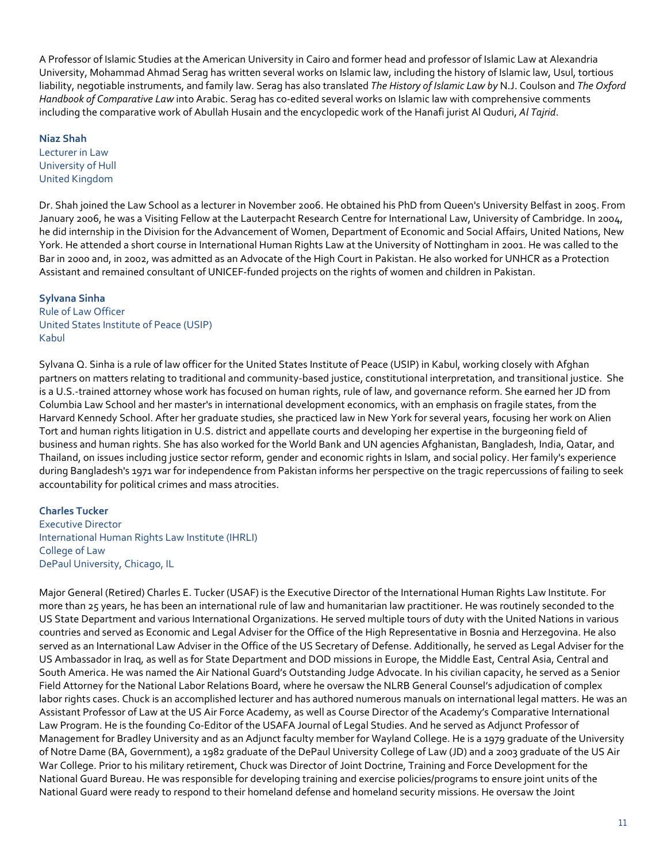A Professor of Islamic Studies at the American University in Cairo and former head and professor of Islamic Law at Alexandria University, Mohammad Ahmad Serag has written several works on Islamic law, including the history of Islamic law, Usul, tortious liability, negotiable instruments, and family law. Serag has also translated *The History of Islamic Law by* N.J. Coulson and *The Oxford Handbook of Comparative Law* into Arabic. Serag has co-edited several works on Islamic law with comprehensive comments including the comparative work of Abullah Husain and the encyclopedic work of the Hanafi jurist Al Quduri, *Al Tajrid*.

#### **Niaz Shah**

Lecturer in Law University of Hull United Kingdom

Dr. Shah joined the Law School as a lecturer in November 2006. He obtained his PhD from Queen's University Belfast in 2005. From January 2006, he was a Visiting Fellow at the Lauterpacht Research Centre for International Law, University of Cambridge. In 2004, he did internship in the Division for the Advancement of Women, Department of Economic and Social Affairs, United Nations, New York. He attended a short course in International Human Rights Law at the University of Nottingham in 2001. He was called to the Bar in 2000 and, in 2002, was admitted as an Advocate of the High Court in Pakistan. He also worked for UNHCR as a Protection Assistant and remained consultant of UNICEF-funded projects on the rights of women and children in Pakistan.

# **Sylvana Sinha**

Rule of Law Officer United States Institute of Peace (USIP) Kabul

Sylvana Q. Sinha is a rule of law officer for the United States Institute of Peace (USIP) in Kabul, working closely with Afghan partners on matters relating to traditional and community-based justice, constitutional interpretation, and transitional justice. She is a U.S.-trained attorney whose work has focused on human rights, rule of law, and governance reform. She earned her JD from Columbia Law School and her master's in international development economics, with an emphasis on fragile states, from the Harvard Kennedy School. After her graduate studies, she practiced law in New York for several years, focusing her work on Alien Tort and human rights litigation in U.S. district and appellate courts and developing her expertise in the burgeoning field of business and human rights. She has also worked for the World Bank and UN agencies Afghanistan, Bangladesh, India, Qatar, and Thailand, on issues including justice sector reform, gender and economic rights in Islam, and social policy. Her family's experience during Bangladesh's 1971 war for independence from Pakistan informs her perspective on the tragic repercussions of failing to seek accountability for political crimes and mass atrocities.

# **Charles Tucker**

Executive Director International Human Rights Law Institute (IHRLI) College of Law DePaul University, Chicago, IL

Major General (Retired) Charles E. Tucker (USAF) is the Executive Director of the International Human Rights Law Institute. For more than 25 years, he has been an international rule of law and humanitarian law practitioner. He was routinely seconded to the US State Department and various International Organizations. He served multiple tours of duty with the United Nations in various countries and served as Economic and Legal Adviser for the Office of the High Representative in Bosnia and Herzegovina. He also served as an International Law Adviser in the Office of the US Secretary of Defense. Additionally, he served as Legal Adviser for the US Ambassador in Iraq, as well as for State Department and DOD missions in Europe, the Middle East, Central Asia, Central and South America. He was named the Air National Guard's Outstanding Judge Advocate. In his civilian capacity, he served as a Senior Field Attorney for the National Labor Relations Board, where he oversaw the NLRB General Counsel's adjudication of complex labor rights cases. Chuck is an accomplished lecturer and has authored numerous manuals on international legal matters. He was an Assistant Professor of Law at the US Air Force Academy, as well as Course Director of the Academy's Comparative International Law Program. He is the founding Co-Editor of the USAFA Journal of Legal Studies. And he served as Adjunct Professor of Management for Bradley University and as an Adjunct faculty member for Wayland College. He is a 1979 graduate of the University of Notre Dame (BA, Government), a 1982 graduate of the DePaul University College of Law (JD) and a 2003 graduate of the US Air War College. Prior to his military retirement, Chuck was Director of Joint Doctrine, Training and Force Development for the National Guard Bureau. He was responsible for developing training and exercise policies/programs to ensure joint units of the National Guard were ready to respond to their homeland defense and homeland security missions. He oversaw the Joint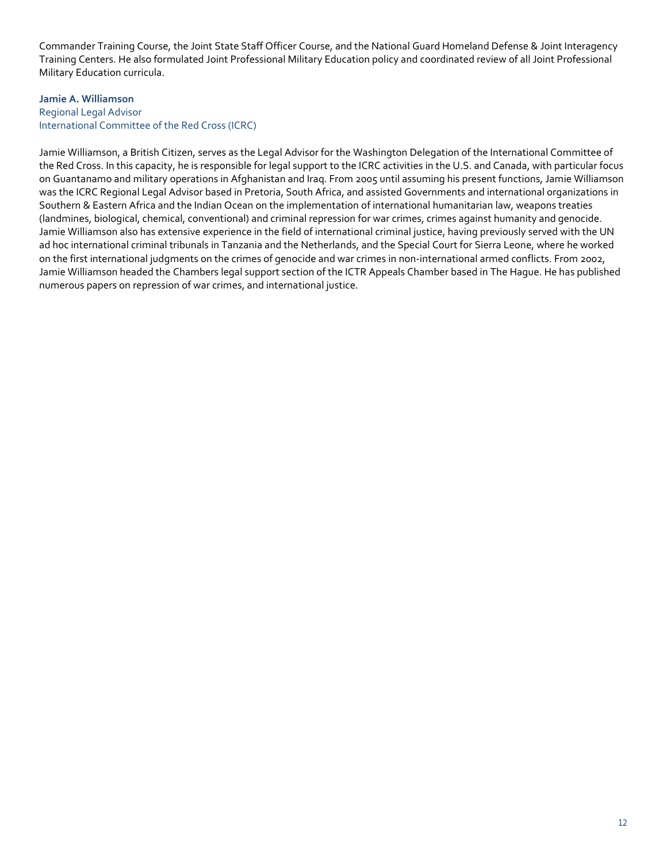Commander Training Course, the Joint State Staff Officer Course, and the National Guard Homeland Defense & Joint Interagency Training Centers. He also formulated Joint Professional Military Education policy and coordinated review of all Joint Professional Military Education curricula.

# **Jamie A. Williamson** Regional Legal Advisor International Committee of the Red Cross (ICRC)

Jamie Williamson, a British Citizen, serves as the Legal Advisor for the Washington Delegation of the International Committee of the Red Cross. In this capacity, he is responsible for legal support to the ICRC activities in the U.S. and Canada, with particular focus on Guantanamo and military operations in Afghanistan and Iraq. From 2005 until assuming his present functions, Jamie Williamson was the ICRC Regional Legal Advisor based in Pretoria, South Africa, and assisted Governments and international organizations in Southern & Eastern Africa and the Indian Ocean on the implementation of international humanitarian law, weapons treaties (landmines, biological, chemical, conventional) and criminal repression for war crimes, crimes against humanity and genocide. Jamie Williamson also has extensive experience in the field of international criminal justice, having previously served with the UN ad hoc international criminal tribunals in Tanzania and the Netherlands, and the Special Court for Sierra Leone, where he worked on the first international judgments on the crimes of genocide and war crimes in non-international armed conflicts. From 2002, Jamie Williamson headed the Chambers legal support section of the ICTR Appeals Chamber based in The Hague. He has published numerous papers on repression of war crimes, and international justice.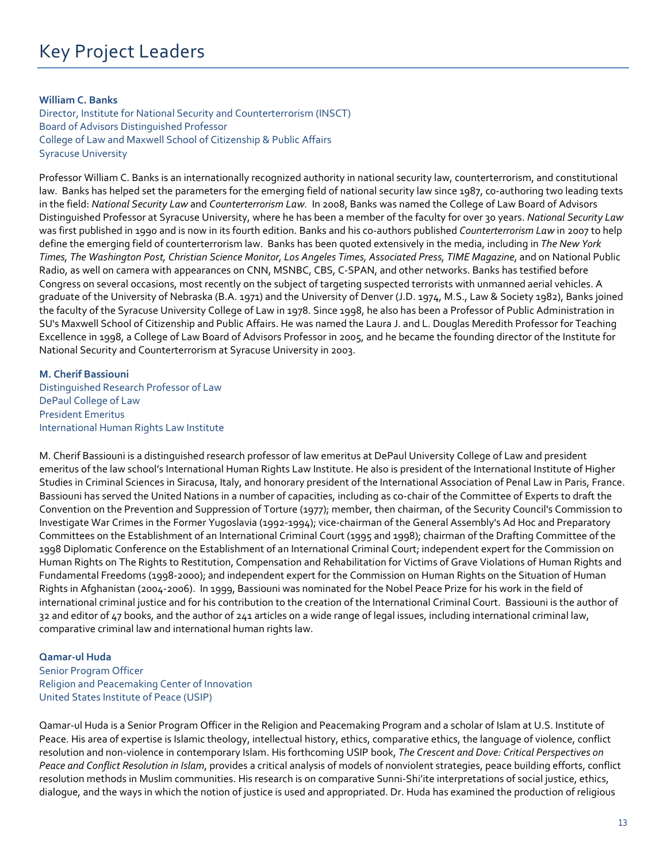## **William C. Banks**

Director, Institute for National Security and Counterterrorism (INSCT) Board of Advisors Distinguished Professor College of Law and Maxwell School of Citizenship & Public Affairs Syracuse University

Professor William C. Banks is an internationally recognized authority in national security law, counterterrorism, and constitutional law. Banks has helped set the parameters for the emerging field of national security law since 1987, co-authoring two leading texts in the field: *National Security Law* and *Counterterrorism Law.* In 2008, Banks was named the College of Law Board of Advisors Distinguished Professor at Syracuse University, where he has been a member of the faculty for over 30 years. *National Security Law*  was first published in 1990 and is now in its fourth edition. Banks and his co-authors published *Counterterrorism Law* in 2007 to help define the emerging field of counterterrorism law. Banks has been quoted extensively in the media, including in *The New York Times, The Washington Post, Christian Science Monitor, Los Angeles Times, Associated Press, TIME Magazine*, and on National Public Radio, as well on camera with appearances on CNN, MSNBC, CBS, C-SPAN, and other networks. Banks has testified before Congress on several occasions, most recently on the subject of targeting suspected terrorists with unmanned aerial vehicles. A graduate of the University of Nebraska (B.A. 1971) and the University of Denver (J.D. 1974, M.S., Law & Society 1982), Banks joined the faculty of the Syracuse University College of Law in 1978. Since 1998, he also has been a Professor of Public Administration in SU's Maxwell School of Citizenship and Public Affairs. He was named the Laura J. and L. Douglas Meredith Professor for Teaching Excellence in 1998, a College of Law Board of Advisors Professor in 2005, and he became the founding director of the Institute for National Security and Counterterrorism at Syracuse University in 2003.

**M. Cherif Bassiouni** Distinguished Research Professor of Law DePaul College of Law President Emeritus International Human Rights Law Institute

M. Cherif Bassiouni is a distinguished research professor of law emeritus at DePaul University College of Law and president emeritus of the law school's International Human Rights Law Institute. He also is president of the International Institute of Higher Studies in Criminal Sciences in Siracusa, Italy, and honorary president of the International Association of Penal Law in Paris, France. Bassiouni has served the United Nations in a number of capacities, including as co-chair of the Committee of Experts to draft the Convention on the Prevention and Suppression of Torture (1977); member, then chairman, of the Security Council's Commission to Investigate War Crimes in the Former Yugoslavia (1992-1994); vice-chairman of the General Assembly's Ad Hoc and Preparatory Committees on the Establishment of an International Criminal Court (1995 and 1998); chairman of the Drafting Committee of the 1998 Diplomatic Conference on the Establishment of an International Criminal Court; independent expert for the Commission on Human Rights on The Rights to Restitution, Compensation and Rehabilitation for Victims of Grave Violations of Human Rights and Fundamental Freedoms (1998-2000); and independent expert for the Commission on Human Rights on the Situation of Human Rights in Afghanistan (2004-2006). In 1999, Bassiouni was nominated for the Nobel Peace Prize for his work in the field of international criminal justice and for his contribution to the creation of the International Criminal Court. Bassiouni is the author of 32 and editor of 47 books, and the author of 241 articles on a wide range of legal issues, including international criminal law, comparative criminal law and international human rights law.

#### **Qamar-ul Huda**

Senior Program Officer Religion and Peacemaking Center of Innovation United States Institute of Peace (USIP)

Qamar-ul Huda is a Senior Program Officer in the Religion and Peacemaking Program and a scholar of Islam at U.S. Institute of Peace. His area of expertise is Islamic theology, intellectual history, ethics, comparative ethics, the language of violence, conflict resolution and non-violence in contemporary Islam. His forthcoming USIP book, *The Crescent and Dove: Critical Perspectives on Peace and Conflict Resolution in Islam*, provides a critical analysis of models of nonviolent strategies, peace building efforts, conflict resolution methods in Muslim communities. His research is on comparative Sunni-Shi'ite interpretations of social justice, ethics, dialogue, and the ways in which the notion of justice is used and appropriated. Dr. Huda has examined the production of religious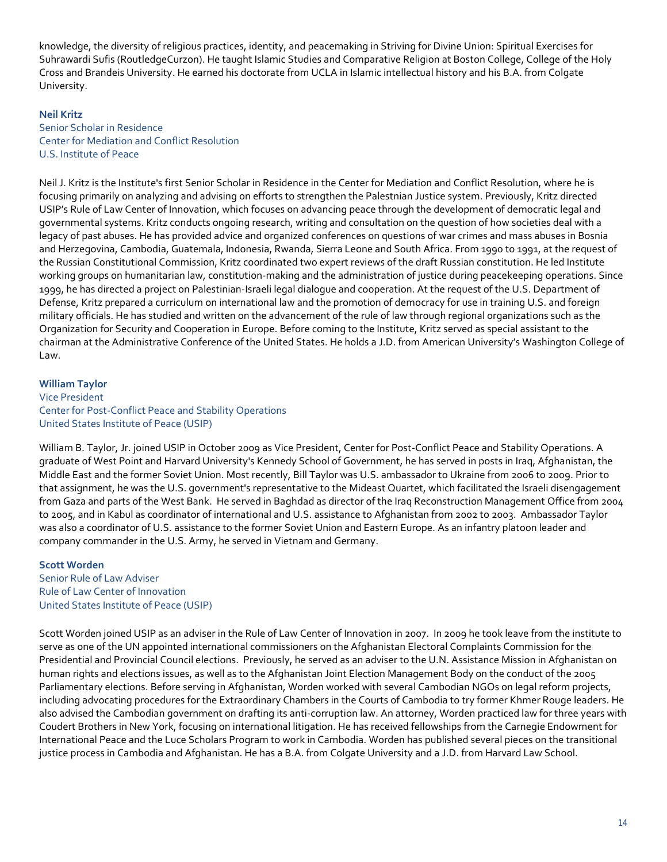knowledge, the diversity of religious practices, identity, and peacemaking in Striving for Divine Union: Spiritual Exercises for Suhrawardi Sufis (RoutledgeCurzon). He taught Islamic Studies and Comparative Religion at Boston College, College of the Holy Cross and Brandeis University. He earned his doctorate from UCLA in Islamic intellectual history and his B.A. from Colgate University.

## **Neil Kritz**

Senior Scholar in Residence Center for Mediation and Conflict Resolution U.S. Institute of Peace

Neil J. Kritz is the Institute's first Senior Scholar in Residence in the Center for Mediation and Conflict Resolution, where he is focusing primarily on analyzing and advising on efforts to strengthen the Palestnian Justice system. Previously, Kritz directed USIP's Rule of Law Center of Innovation, which focuses on advancing peace through the development of democratic legal and governmental systems. Kritz conducts ongoing research, writing and consultation on the question of how societies deal with a legacy of past abuses. He has provided advice and organized conferences on questions of war crimes and mass abuses in Bosnia and Herzegovina, Cambodia, Guatemala, Indonesia, Rwanda, Sierra Leone and South Africa. From 1990 to 1991, at the request of the Russian Constitutional Commission, Kritz coordinated two expert reviews of the draft Russian constitution. He led Institute working groups on humanitarian law, constitution-making and the administration of justice during peacekeeping operations. Since 1999, he has directed a project on Palestinian-Israeli legal dialogue and cooperation. At the request of the U.S. Department of Defense, Kritz prepared a curriculum on international law and the promotion of democracy for use in training U.S. and foreign military officials. He has studied and written on the advancement of the rule of law through regional organizations such as the Organization for Security and Cooperation in Europe. Before coming to the Institute, Kritz served as special assistant to the chairman at the Administrative Conference of the United States. He holds a J.D. from American University's Washington College of Law.

#### **William Taylor**

Vice President Center for Post-Conflict Peace and Stability Operations United States Institute of Peace (USIP)

William B. Taylor, Jr. joined USIP in October 2009 as Vice President, Center for Post-Conflict Peace and Stability Operations. A graduate of West Point and Harvard University's Kennedy School of Government, he has served in posts in Iraq, Afghanistan, the Middle East and the former Soviet Union. Most recently, Bill Taylor was U.S. ambassador to Ukraine from 2006 to 2009. Prior to that assignment, he was the U.S. government's representative to the Mideast Quartet, which facilitated the Israeli disengagement from Gaza and parts of the West Bank. He served in Baghdad as director of the Iraq Reconstruction Management Office from 2004 to 2005, and in Kabul as coordinator of international and U.S. assistance to Afghanistan from 2002 to 2003. Ambassador Taylor was also a coordinator of U.S. assistance to the former Soviet Union and Eastern Europe. As an infantry platoon leader and company commander in the U.S. Army, he served in Vietnam and Germany.

#### **Scott Worden**

Senior Rule of Law Adviser Rule of Law Center of Innovation United States Institute of Peace (USIP)

Scott Worden joined USIP as an adviser in the Rule of Law Center of Innovation in 2007. In 2009 he took leave from the institute to serve as one of the UN appointed international commissioners on the Afghanistan Electoral Complaints Commission for the Presidential and Provincial Council elections. Previously, he served as an adviser to the U.N. Assistance Mission in Afghanistan on human rights and elections issues, as well as to the Afghanistan Joint Election Management Body on the conduct of the 2005 Parliamentary elections. Before serving in Afghanistan, Worden worked with several Cambodian NGOs on legal reform projects, including advocating procedures for the Extraordinary Chambers in the Courts of Cambodia to try former Khmer Rouge leaders. He also advised the Cambodian government on drafting its anti-corruption law. An attorney, Worden practiced law for three years with Coudert Brothers in New York, focusing on international litigation. He has received fellowships from the Carnegie Endowment for International Peace and the Luce Scholars Program to work in Cambodia. Worden has published several pieces on the transitional justice process in Cambodia and Afghanistan. He has a B.A. from Colgate University and a J.D. from Harvard Law School.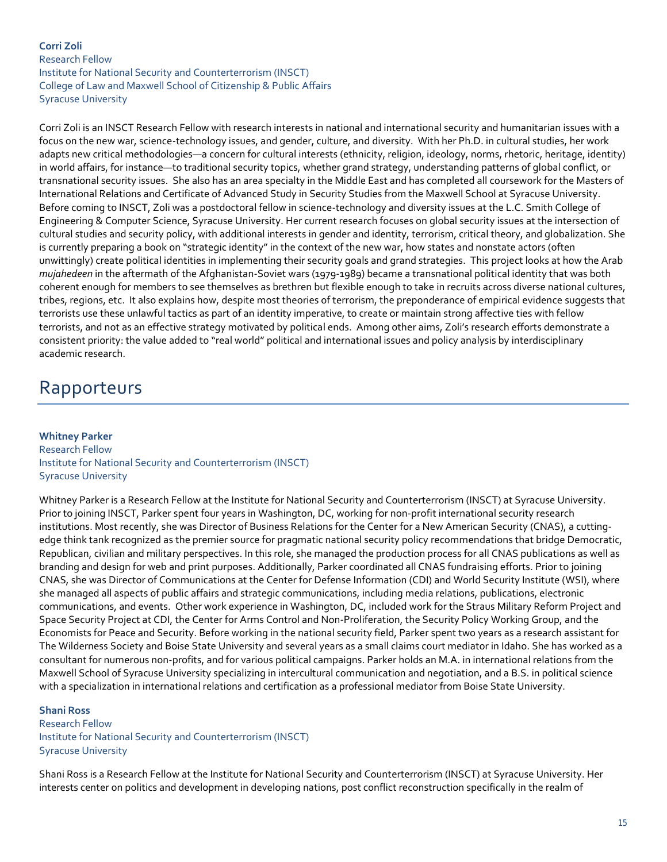# **Corri Zoli** Research Fellow Institute for National Security and Counterterrorism (INSCT) College of Law and Maxwell School of Citizenship & Public Affairs Syracuse University

Corri Zoli is an INSCT Research Fellow with research interests in national and international security and humanitarian issues with a focus on the new war, science-technology issues, and gender, culture, and diversity. With her Ph.D. in cultural studies, her work adapts new critical methodologies—a concern for cultural interests (ethnicity, religion, ideology, norms, rhetoric, heritage, identity) in world affairs, for instance—to traditional security topics, whether grand strategy, understanding patterns of global conflict, or transnational security issues. She also has an area specialty in the Middle East and has completed all coursework for the Masters of International Relations and Certificate of Advanced Study in Security Studies from the Maxwell School at Syracuse University. Before coming to INSCT, Zoli was a postdoctoral fellow in science-technology and diversity issues at the L.C. Smith College of Engineering & Computer Science, Syracuse University. Her current research focuses on global security issues at the intersection of cultural studies and security policy, with additional interests in gender and identity, terrorism, critical theory, and globalization. She is currently preparing a book on "strategic identity" in the context of the new war, how states and nonstate actors (often unwittingly) create political identities in implementing their security goals and grand strategies. This project looks at how the Arab *mujahedeen* in the aftermath of the Afghanistan-Soviet wars (1979-1989) became a transnational political identity that was both coherent enough for members to see themselves as brethren but flexible enough to take in recruits across diverse national cultures, tribes, regions, etc. It also explains how, despite most theories of terrorism, the preponderance of empirical evidence suggests that terrorists use these unlawful tactics as part of an identity imperative, to create or maintain strong affective ties with fellow terrorists, and not as an effective strategy motivated by political ends. Among other aims, Zoli's research efforts demonstrate a consistent priority: the value added to "real world" political and international issues and policy analysis by interdisciplinary academic research.

# Rapporteurs

# **Whitney Parker** Research Fellow Institute for National Security and Counterterrorism (INSCT) Syracuse University

Whitney Parker is a Research Fellow at the Institute for National Security and Counterterrorism (INSCT) at Syracuse University. Prior to joining INSCT, Parker spent four years in Washington, DC, working for non-profit international security research institutions. Most recently, she was Director of Business Relations for the Center for a New American Security (CNAS), a cuttingedge think tank recognized as the premier source for pragmatic national security policy recommendations that bridge Democratic, Republican, civilian and military perspectives. In this role, she managed the production process for all CNAS publications as well as branding and design for web and print purposes. Additionally, Parker coordinated all CNAS fundraising efforts. Prior to joining CNAS, she was Director of Communications at the Center for Defense Information (CDI) and World Security Institute (WSI), where she managed all aspects of public affairs and strategic communications, including media relations, publications, electronic communications, and events. Other work experience in Washington, DC, included work for the Straus Military Reform Project and Space Security Project at CDI, the Center for Arms Control and Non-Proliferation, the Security Policy Working Group, and the Economists for Peace and Security. Before working in the national security field, Parker spent two years as a research assistant for The Wilderness Society and Boise State University and several years as a small claims court mediator in Idaho. She has worked as a consultant for numerous non-profits, and for various political campaigns. Parker holds an M.A. in international relations from the Maxwell School of Syracuse University specializing in intercultural communication and negotiation, and a B.S. in political science with a specialization in international relations and certification as a professional mediator from Boise State University.

# **Shani Ross**

Research Fellow Institute for National Security and Counterterrorism (INSCT) Syracuse University

Shani Ross is a Research Fellow at the Institute for National Security and Counterterrorism (INSCT) at Syracuse University. Her interests center on politics and development in developing nations, post conflict reconstruction specifically in the realm of